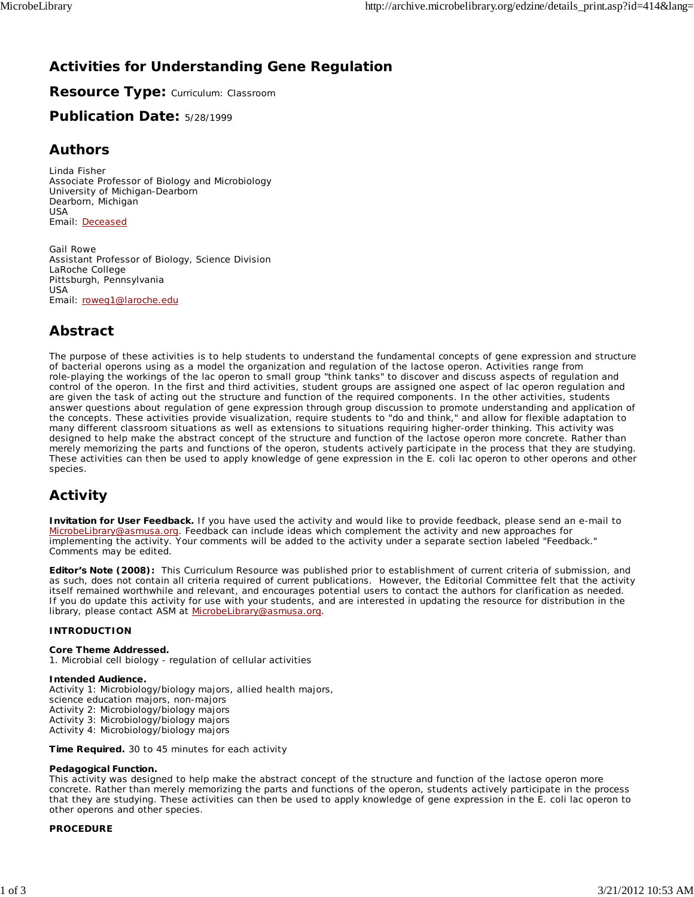# **Activities for Understanding Gene Regulation**

**Resource Type:** Curriculum: Classroom

# **Publication Date:** 5/28/1999

# **Authors**

*Linda Fisher* Associate Professor of Biology and Microbiology University of Michigan-Dearborn Dearborn, Michigan USA Email: Deceased

*Gail Rowe* Assistant Professor of Biology, Science Division LaRoche College Pittsburgh, Pennsylvania USA Email: roweg1@laroche.edu

# **Abstract**

The purpose of these activities is to help students to understand the fundamental concepts of gene expression and structure of bacterial operons using as a model the organization and regulation of the lactose operon. Activities range from role-playing the workings of the lac operon to small group "think tanks" to discover and discuss aspects of regulation and control of the operon. In the first and third activities, student groups are assigned one aspect of lac operon regulation and are given the task of acting out the structure and function of the required components. In the other activities, students answer questions about regulation of gene expression through group discussion to promote understanding and application of the concepts. These activities provide visualization, require students to "do and think," and allow for flexible adaptation to many different classroom situations as well as extensions to situations requiring higher-order thinking. This activity was designed to help make the abstract concept of the structure and function of the lactose operon more concrete. Rather than merely memorizing the parts and functions of the operon, students actively participate in the process that they are studying. These activities can then be used to apply knowledge of gene expression in the *E. coli* lac operon to other operons and other species.

# **Activity**

**Invitation for User Feedback.** If you have used the activity and would like to provide feedback, please send an e-mail to MicrobeLibrary@asmusa.org. Feedback can include ideas which complement the activity and new approaches for implementing the activity. Your comments will be added to the activity under a separate section labeled "Feedback." Comments may be edited.

**Editor's Note (2008):** This Curriculum Resource was published prior to establishment of current criteria of submission, and as such, does not contain all criteria required of current publications. However, the Editorial Committee felt that the activity itself remained worthwhile and relevant, and encourages potential users to contact the authors for clarification as needed. If you do update this activity for use with your students, and are interested in updating the resource for distribution in the library, please contact ASM at MicrobeLibrary@asmusa.org.

# **INTRODUCTION**

# **Core Theme Addressed.**

1. Microbial cell biology - regulation of cellular activities

# **Intended Audience.**

Activity 1: Microbiology/biology majors, allied health majors, science education majors, non-majors Activity 2: Microbiology/biology majors Activity 3: Microbiology/biology majors Activity 4: Microbiology/biology majors

**Time Required.** 30 to 45 minutes for each activity

# **Pedagogical Function.**

This activity was designed to help make the abstract concept of the structure and function of the lactose operon more concrete. Rather than merely memorizing the parts and functions of the operon, students actively participate in the process that they are studying. These activities can then be used to apply knowledge of gene expression in the *E. coli* lac operon to other operons and other species.

# **PROCEDURE**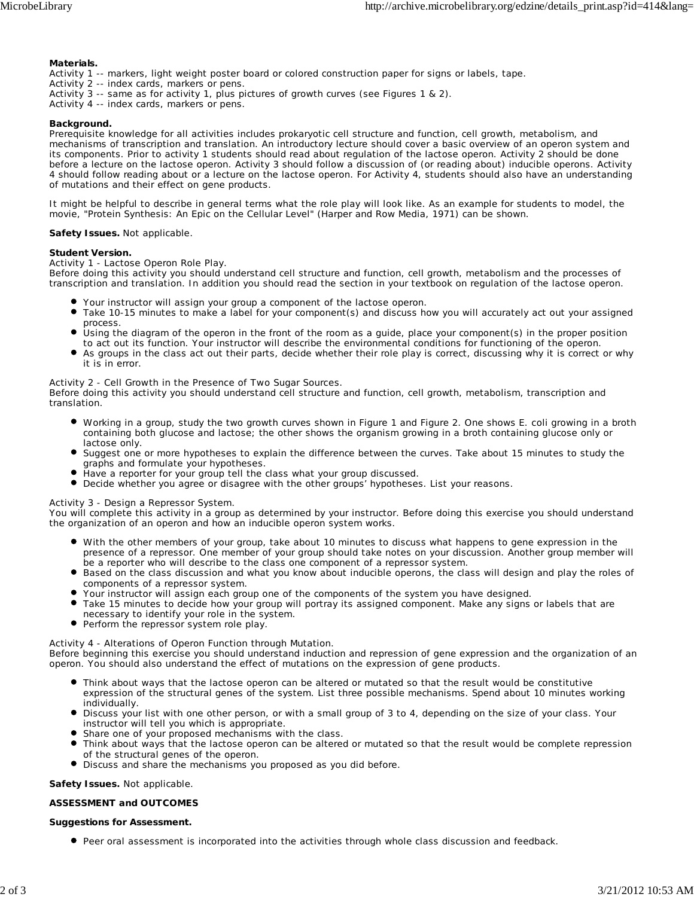#### **Materials.**

- Activity 1 -- markers, light weight poster board or colored construction paper for signs or labels, tape.
- Activity 2 -- index cards, markers or pens.
- Activity 3 -- same as for activity 1, plus pictures of growth curves (see Figures 1 & 2).
- Activity 4 -- index cards, markers or pens.

#### **Background.**

Prerequisite knowledge for all activities includes prokaryotic cell structure and function, cell growth, metabolism, and mechanisms of transcription and translation. An introductory lecture should cover a basic overview of an operon system and its components. Prior to activity 1 students should read about regulation of the lactose operon. Activity 2 should be done before a lecture on the lactose operon. Activity 3 should follow a discussion of (or reading about) inducible operons. Activity 4 should follow reading about or a lecture on the lactose operon. For Activity 4, students should also have an understanding of mutations and their effect on gene products.

It might be helpful to describe in general terms what the role play will look like. As an example for students to model, the movie, "Protein Synthesis: An Epic on the Cellular Level" (Harper and Row Media, 1971) can be shown.

#### **Safety Issues.** Not applicable.

#### **Student Version.**

#### *Activity 1 - Lactose Operon Role Play.*

Before doing this activity you should understand cell structure and function, cell growth, metabolism and the processes of transcription and translation. In addition you should read the section in your textbook on regulation of the lactose operon.

- Your instructor will assign your group a component of the lactose operon.
- Take 10-15 minutes to make a label for your component(s) and discuss how you will accurately act out your assigned process.
- Using the diagram of the operon in the front of the room as a guide, place your component(s) in the proper position to act out its function. Your instructor will describe the environmental conditions for functioning of the operon.
- $\bullet$ As groups in the class act out their parts, decide whether their role play is correct, discussing why it is correct or why it is in error.

#### *Activity 2 - Cell Growth in the Presence of Two Sugar Sources.*

Before doing this activity you should understand cell structure and function, cell growth, metabolism, transcription and translation.

- Working in a group, study the two growth curves shown in Figure 1 and Figure 2. One shows *E. coli* growing in a broth containing both glucose and lactose; the other shows the organism growing in a broth containing glucose only or lactose only.
- Suggest one or more hypotheses to explain the difference between the curves. Take about 15 minutes to study the graphs and formulate your hypotheses.
- Have a reporter for your group tell the class what your group discussed.
- Decide whether you agree or disagree with the other groups' hypotheses. List your reasons.

## *Activity 3 - Design a Repressor System.*

You will complete this activity in a group as determined by your instructor. Before doing this exercise you should understand the organization of an operon and how an inducible operon system works.

- With the other members of your group, take about 10 minutes to discuss what happens to gene expression in the presence of a repressor. One member of your group should take notes on your discussion. Another group member will be a reporter who will describe to the class one component of a repressor system.
- Based on the class discussion and what you know about inducible operons, the class will design and play the roles of components of a repressor system.
- Your instructor will assign each group one of the components of the system you have designed.
- Take 15 minutes to decide how your group will portray its assigned component. Make any signs or labels that are  $\bullet$ necessary to identify your role in the system.
- **•** Perform the repressor system role play.

#### *Activity 4 - Alterations of Operon Function through Mutation.*

Before beginning this exercise you should understand induction and repression of gene expression and the organization of an operon. You should also understand the effect of mutations on the expression of gene products.

- Think about ways that the lactose operon can be altered or mutated so that the result would be constitutive expression of the structural genes of the system. List three possible mechanisms. Spend about 10 minutes working individually.
- Discuss your list with one other person, or with a small group of 3 to 4, depending on the size of your class. Your instructor will tell you which is appropriate.
- Share one of your proposed mechanisms with the class.
- Think about ways that the lactose operon can be altered or mutated so that the result would be complete repression of the structural genes of the operon.
- Discuss and share the mechanisms you proposed as you did before.

## **Safety Issues.** Not applicable.

## **ASSESSMENT and OUTCOMES**

## **Suggestions for Assessment.**

Peer oral assessment is incorporated into the activities through whole class discussion and feedback.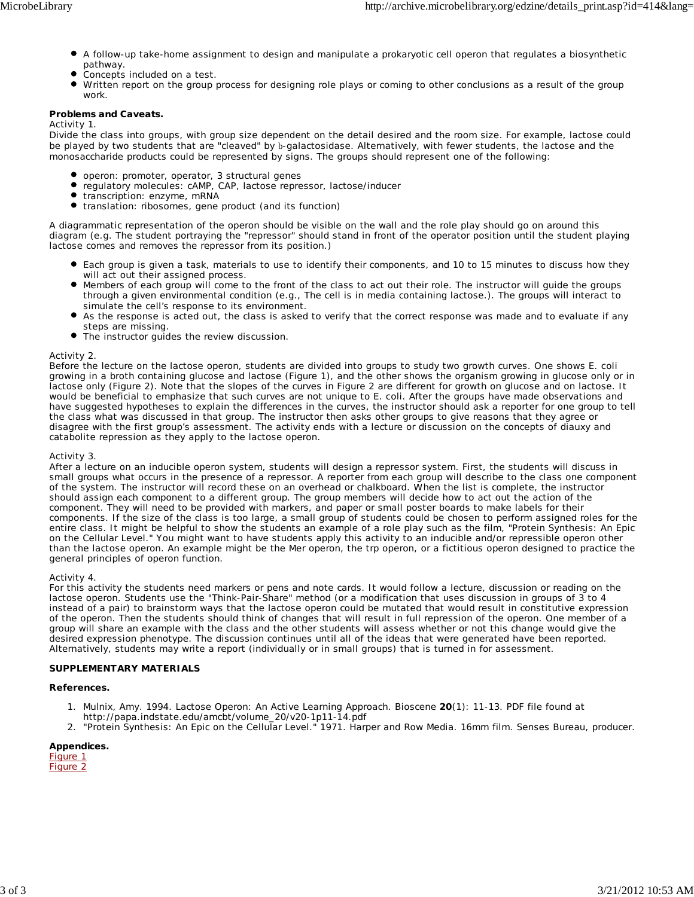- A follow-up take-home assignment to design and manipulate a prokaryotic cell operon that regulates a biosynthetic pathway.
- Concepts included on a test.
- $\bullet$ Written report on the group process for designing role plays or coming to other conclusions as a result of the group work.

# **Problems and Caveats.**

*Activity 1*.

Divide the class into groups, with group size dependent on the detail desired and the room size. For example, lactose could be played by two students that are "cleaved" by b-galactosidase. Alternatively, with fewer students, the lactose and the monosaccharide products could be represented by signs. The groups should represent one of the following:

- operon: promoter, operator, 3 structural genes
- $\bullet$ regulatory molecules: cAMP, CAP, lactose repressor, lactose/inducer
- $\bullet$ transcription: enzyme, mRNA
- $\bullet$ translation: ribosomes, gene product (and its function)

A diagrammatic representation of the operon should be visible on the wall and the role play should go on around this diagram (e.g. The student portraying the "repressor" should stand in front of the operator position until the student playing lactose comes and removes the repressor from its position.)

- Each group is given a task, materials to use to identify their components, and 10 to 15 minutes to discuss how they will act out their assigned process.
- Members of each group will come to the front of the class to act out their role. The instructor will guide the groups through a given environmental condition (e.g., The cell is in media containing lactose.). The groups will interact to simulate the cell's response to its environment.
- As the response is acted out, the class is asked to verify that the correct response was made and to evaluate if any steps are missing.
- The instructor guides the review discussion.

## *Activity 2.*

Before the lecture on the lactose operon, students are divided into groups to study two growth curves. One shows *E. coli* growing in a broth containing glucose and lactose (Figure 1), and the other shows the organism growing in glucose only or in lactose only (Figure 2). Note that the slopes of the curves in Figure 2 are different for growth on glucose and on lactose. It would be beneficial to emphasize that such curves are not unique to *E. coli*. After the groups have made observations and have suggested hypotheses to explain the differences in the curves, the instructor should ask a reporter for one group to tell the class what was discussed in that group. The instructor then asks other groups to give reasons that they agree or disagree with the first group's assessment. The activity ends with a lecture or discussion on the concepts of diauxy and catabolite repression as they apply to the lactose operon.

## *Activity 3*.

After a lecture on an inducible operon system, students will design a repressor system. First, the students will discuss in small groups what occurs in the presence of a repressor. A reporter from each group will describe to the class one component of the system. The instructor will record these on an overhead or chalkboard. When the list is complete, the instructor should assign each component to a different group. The group members will decide how to act out the action of the component. They will need to be provided with markers, and paper or small poster boards to make labels for their components. If the size of the class is too large, a small group of students could be chosen to perform assigned roles for the entire class. It might be helpful to show the students an example of a role play such as the film, "Protein Synthesis: An Epic on the Cellular Level." You might want to have students apply this activity to an inducible and/or repressible operon other than the lactose operon. An example might be the *Mer* operon, the *trp* operon, or a fictitious operon designed to practice the general principles of operon function.

## *Activity 4*.

For this activity the students need markers or pens and note cards. It would follow a lecture, discussion or reading on the lactose operon. Students use the "Think-Pair-Share" method (or a modification that uses discussion in groups of 3 to 4 instead of a pair) to brainstorm ways that the lactose operon could be mutated that would result in constitutive expression of the operon. Then the students should think of changes that will result in full repression of the operon. One member of a group will share an example with the class and the other students will assess whether or not this change would give the desired expression phenotype. The discussion continues until all of the ideas that were generated have been reported. Alternatively, students may write a report (individually or in small groups) that is turned in for assessment.

## **SUPPLEMENTARY MATERIALS**

## **References.**

- 1. Mulnix, Amy. 1994. Lactose Operon: An Active Learning Approach. Bioscene 20(1): 11-13. PDF file found at http://papa.indstate.edu/amcbt/volume\_20/v20-1p11-14.pdf
- 2. "Protein Synthesis: An Epic on the Cellular Level." 1971. Harper and Row Media. 16mm film. Senses Bureau, producer.

**Appendices.** Figure 1 Figure 2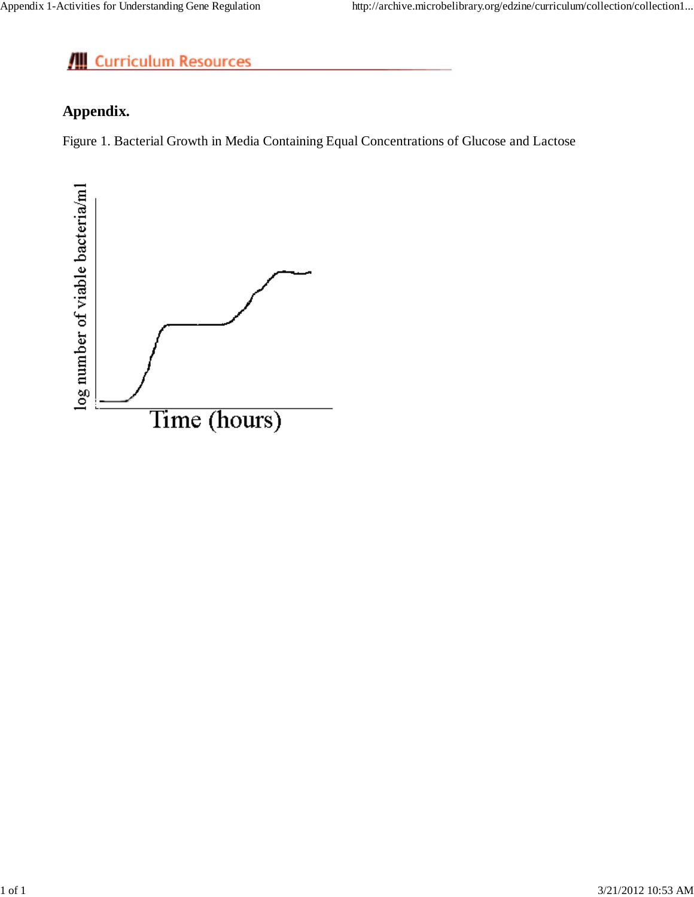# Curriculum Resources

# **Appendix.**

Figure 1. Bacterial Growth in Media Containing Equal Concentrations of Glucose and Lactose